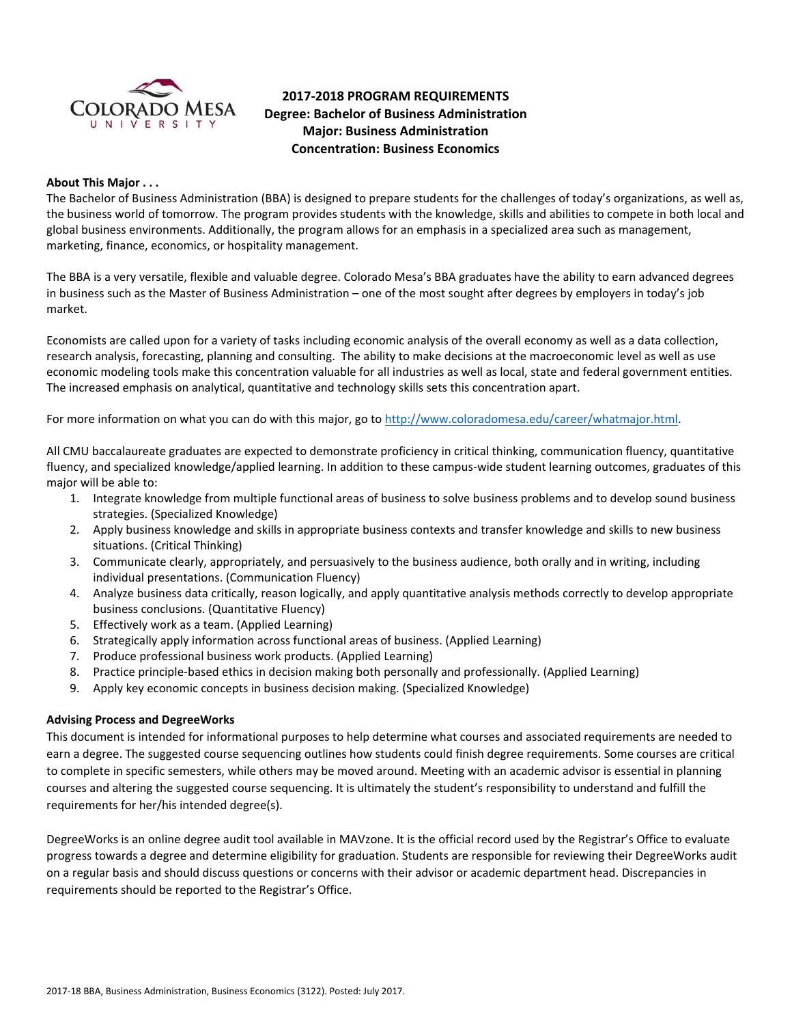

# **2017-2018 PROGRAM REQUIREMENTS Degree: Bachelor of Business Administration Major: Business Administration Concentration: Business Economics**

#### **About This Major . . .**

The Bachelor of Business Administration (BBA) is designed to prepare students for the challenges of today's organizations, as well as, the business world of tomorrow. The program provides students with the knowledge, skills and abilities to compete in both local and global business environments. Additionally, the program allows for an emphasis in a specialized area such as management, marketing, finance, economics, or hospitality management.

The BBA is a very versatile, flexible and valuable degree. Colorado Mesa's BBA graduates have the ability to earn advanced degrees in business such as the Master of Business Administration – one of the most sought after degrees by employers in today's job market.

Economists are called upon for a variety of tasks including economic analysis of the overall economy as well as a data collection, research analysis, forecasting, planning and consulting. The ability to make decisions at the macroeconomic level as well as use economic modeling tools make this concentration valuable for all industries as well as local, state and federal government entities. The increased emphasis on analytical, quantitative and technology skills sets this concentration apart.

For more information on what you can do with this major, go t[o http://www.coloradomesa.edu/career/whatmajor.html.](http://www.coloradomesa.edu/career/whatmajor.html)

All CMU baccalaureate graduates are expected to demonstrate proficiency in critical thinking, communication fluency, quantitative fluency, and specialized knowledge/applied learning. In addition to these campus-wide student learning outcomes, graduates of this major will be able to:

- 1. Integrate knowledge from multiple functional areas of business to solve business problems and to develop sound business strategies. (Specialized Knowledge)
- 2. Apply business knowledge and skills in appropriate business contexts and transfer knowledge and skills to new business situations. (Critical Thinking)
- 3. Communicate clearly, appropriately, and persuasively to the business audience, both orally and in writing, including individual presentations. (Communication Fluency)
- 4. Analyze business data critically, reason logically, and apply quantitative analysis methods correctly to develop appropriate business conclusions. (Quantitative Fluency)
- 5. Effectively work as a team. (Applied Learning)
- 6. Strategically apply information across functional areas of business. (Applied Learning)
- 7. Produce professional business work products. (Applied Learning)
- 8. Practice principle-based ethics in decision making both personally and professionally. (Applied Learning)
- 9. Apply key economic concepts in business decision making. (Specialized Knowledge)

### **Advising Process and DegreeWorks**

This document is intended for informational purposes to help determine what courses and associated requirements are needed to earn a degree. The suggested course sequencing outlines how students could finish degree requirements. Some courses are critical to complete in specific semesters, while others may be moved around. Meeting with an academic advisor is essential in planning courses and altering the suggested course sequencing. It is ultimately the student's responsibility to understand and fulfill the requirements for her/his intended degree(s).

DegreeWorks is an online degree audit tool available in MAVzone. It is the official record used by the Registrar's Office to evaluate progress towards a degree and determine eligibility for graduation. Students are responsible for reviewing their DegreeWorks audit on a regular basis and should discuss questions or concerns with their advisor or academic department head. Discrepancies in requirements should be reported to the Registrar's Office.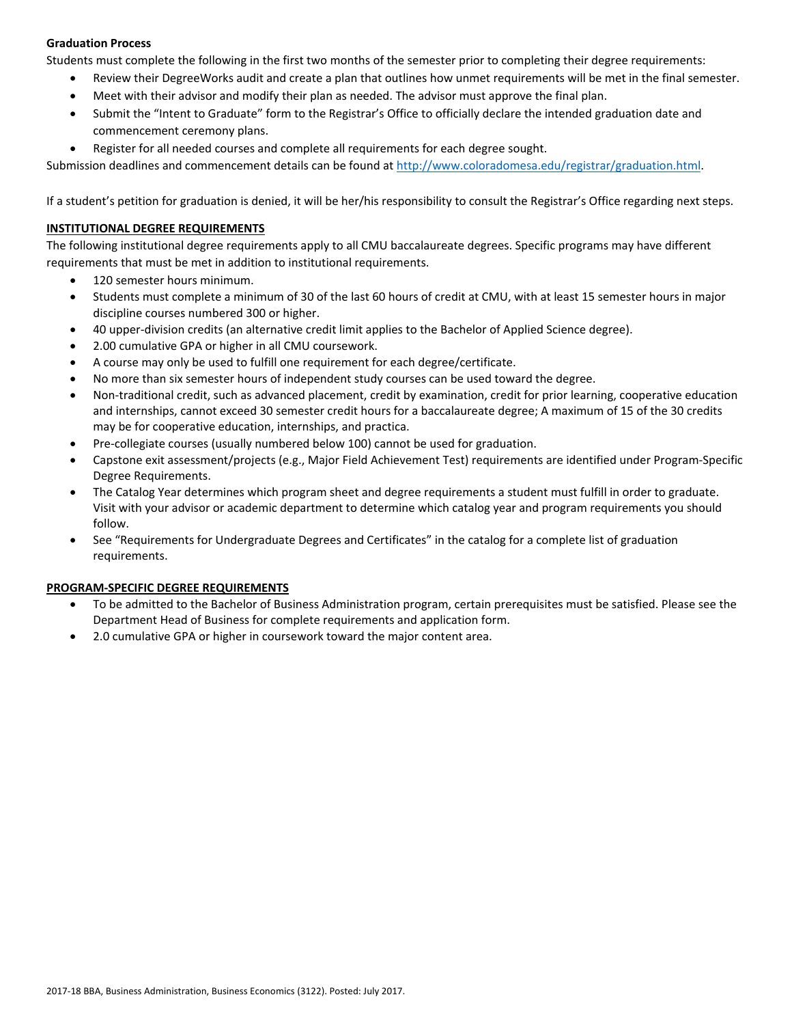### **Graduation Process**

Students must complete the following in the first two months of the semester prior to completing their degree requirements:

- Review their DegreeWorks audit and create a plan that outlines how unmet requirements will be met in the final semester.
- Meet with their advisor and modify their plan as needed. The advisor must approve the final plan.
- Submit the "Intent to Graduate" form to the Registrar's Office to officially declare the intended graduation date and commencement ceremony plans.
- Register for all needed courses and complete all requirements for each degree sought.

Submission deadlines and commencement details can be found at [http://www.coloradomesa.edu/registrar/graduation.html.](http://www.coloradomesa.edu/registrar/graduation.html)

If a student's petition for graduation is denied, it will be her/his responsibility to consult the Registrar's Office regarding next steps.

### **INSTITUTIONAL DEGREE REQUIREMENTS**

The following institutional degree requirements apply to all CMU baccalaureate degrees. Specific programs may have different requirements that must be met in addition to institutional requirements.

- 120 semester hours minimum.
- Students must complete a minimum of 30 of the last 60 hours of credit at CMU, with at least 15 semester hours in major discipline courses numbered 300 or higher.
- 40 upper-division credits (an alternative credit limit applies to the Bachelor of Applied Science degree).
- 2.00 cumulative GPA or higher in all CMU coursework.
- A course may only be used to fulfill one requirement for each degree/certificate.
- No more than six semester hours of independent study courses can be used toward the degree.
- Non-traditional credit, such as advanced placement, credit by examination, credit for prior learning, cooperative education and internships, cannot exceed 30 semester credit hours for a baccalaureate degree; A maximum of 15 of the 30 credits may be for cooperative education, internships, and practica.
- Pre-collegiate courses (usually numbered below 100) cannot be used for graduation.
- Capstone exit assessment/projects (e.g., Major Field Achievement Test) requirements are identified under Program-Specific Degree Requirements.
- The Catalog Year determines which program sheet and degree requirements a student must fulfill in order to graduate. Visit with your advisor or academic department to determine which catalog year and program requirements you should follow.
- See "Requirements for Undergraduate Degrees and Certificates" in the catalog for a complete list of graduation requirements.

### **PROGRAM-SPECIFIC DEGREE REQUIREMENTS**

- To be admitted to the Bachelor of Business Administration program, certain prerequisites must be satisfied. Please see the Department Head of Business for complete requirements and application form.
- 2.0 cumulative GPA or higher in coursework toward the major content area.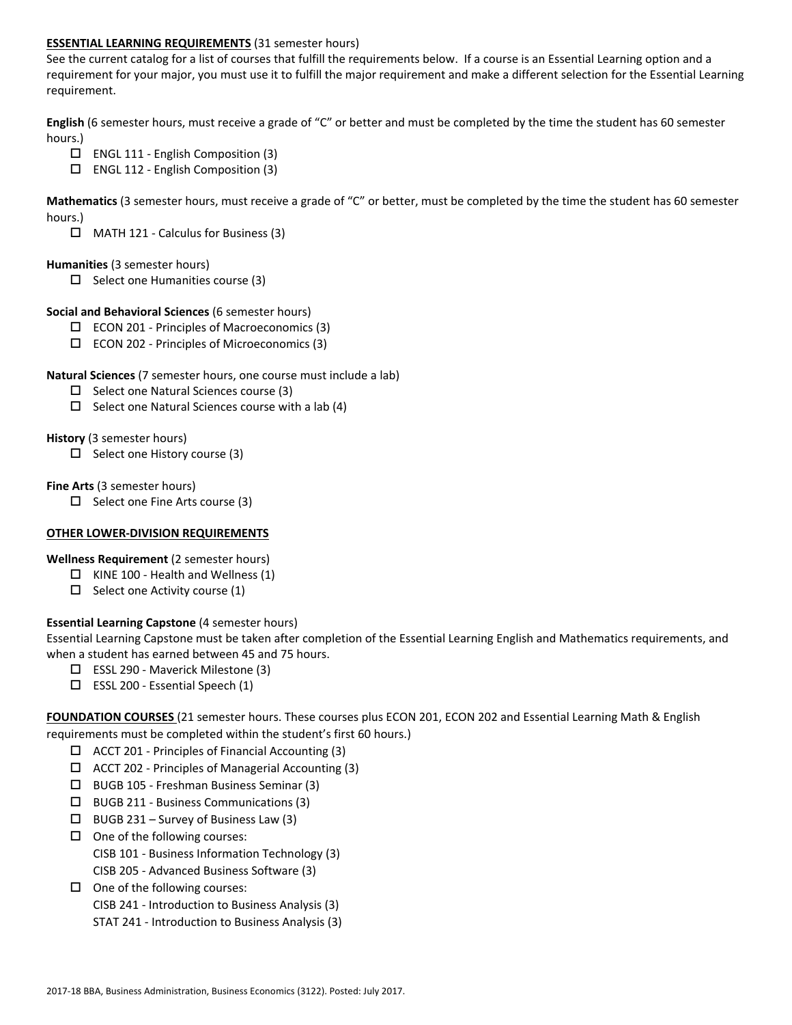#### **ESSENTIAL LEARNING REQUIREMENTS** (31 semester hours)

See the current catalog for a list of courses that fulfill the requirements below. If a course is an Essential Learning option and a requirement for your major, you must use it to fulfill the major requirement and make a different selection for the Essential Learning requirement.

**English** (6 semester hours, must receive a grade of "C" or better and must be completed by the time the student has 60 semester hours.)

- ENGL 111 English Composition (3)
- $\square$  ENGL 112 English Composition (3)

**Mathematics** (3 semester hours, must receive a grade of "C" or better, must be completed by the time the student has 60 semester hours.)

 $\Box$  MATH 121 - Calculus for Business (3)

#### **Humanities** (3 semester hours)

 $\Box$  Select one Humanities course (3)

#### **Social and Behavioral Sciences** (6 semester hours)

- $\Box$  ECON 201 Principles of Macroeconomics (3)
- $\square$  ECON 202 Principles of Microeconomics (3)

#### **Natural Sciences** (7 semester hours, one course must include a lab)

- $\square$  Select one Natural Sciences course (3)
- $\Box$  Select one Natural Sciences course with a lab (4)

#### **History** (3 semester hours)

 $\Box$  Select one History course (3)

#### **Fine Arts** (3 semester hours)

 $\Box$  Select one Fine Arts course (3)

### **OTHER LOWER-DIVISION REQUIREMENTS**

**Wellness Requirement** (2 semester hours)

- $\Box$  KINE 100 Health and Wellness (1)
- $\Box$  Select one Activity course (1)

### **Essential Learning Capstone** (4 semester hours)

Essential Learning Capstone must be taken after completion of the Essential Learning English and Mathematics requirements, and when a student has earned between 45 and 75 hours.

- ESSL 290 Maverick Milestone (3)
- $\Box$  ESSL 200 Essential Speech (1)

**FOUNDATION COURSES** (21 semester hours. These courses plus ECON 201, ECON 202 and Essential Learning Math & English requirements must be completed within the student's first 60 hours.)

- $\Box$  ACCT 201 Principles of Financial Accounting (3)
- $\Box$  ACCT 202 Principles of Managerial Accounting (3)
- BUGB 105 Freshman Business Seminar (3)
- BUGB 211 Business Communications (3)
- $\Box$  BUGB 231 Survey of Business Law (3)
- $\Box$  One of the following courses: CISB 101 - Business Information Technology (3) CISB 205 - Advanced Business Software (3)
- $\Box$  One of the following courses: CISB 241 - Introduction to Business Analysis (3) STAT 241 - Introduction to Business Analysis (3)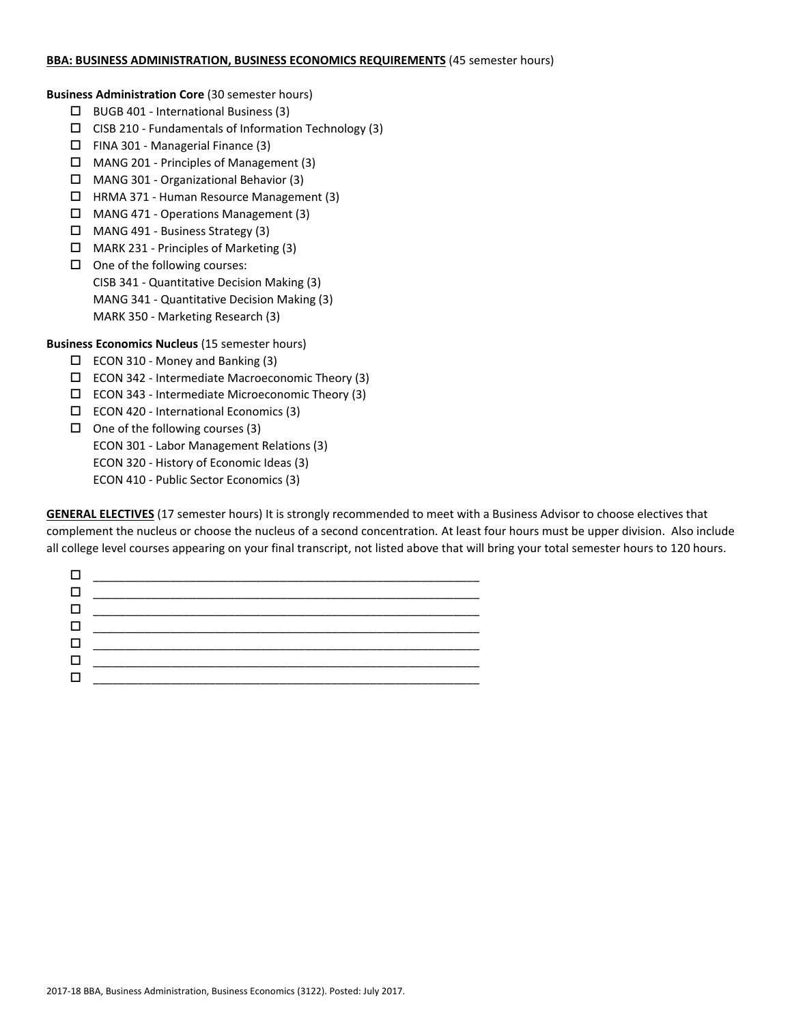#### **BBA: BUSINESS ADMINISTRATION, BUSINESS ECONOMICS REQUIREMENTS** (45 semester hours)

**Business Administration Core** (30 semester hours)

- $\Box$  BUGB 401 International Business (3)
- $\square$  CISB 210 Fundamentals of Information Technology (3)
- $\Box$  FINA 301 Managerial Finance (3)
- MANG 201 Principles of Management (3)
- MANG 301 Organizational Behavior (3)
- HRMA 371 Human Resource Management (3)
- MANG 471 Operations Management (3)
- MANG 491 Business Strategy (3)
- MARK 231 Principles of Marketing (3)
- $\Box$  One of the following courses: CISB 341 - Quantitative Decision Making (3) MANG 341 - Quantitative Decision Making (3) MARK 350 - Marketing Research (3)

**Business Economics Nucleus** (15 semester hours)

- $\square$  ECON 310 Money and Banking (3)
- $\square$  ECON 342 Intermediate Macroeconomic Theory (3)
- $\Box$  ECON 343 Intermediate Microeconomic Theory (3)
- $\square$  ECON 420 International Economics (3)
- $\Box$  One of the following courses (3)

ECON 301 - Labor Management Relations (3)

ECON 320 - History of Economic Ideas (3)

ECON 410 - Public Sector Economics (3)

**GENERAL ELECTIVES** (17 semester hours) It is strongly recommended to meet with a Business Advisor to choose electives that complement the nucleus or choose the nucleus of a second concentration. At least four hours must be upper division. Also include all college level courses appearing on your final transcript, not listed above that will bring your total semester hours to 120 hours.

| $\Box$ |  |
|--------|--|
| $\Box$ |  |
|        |  |
|        |  |
| $\Box$ |  |
|        |  |
|        |  |